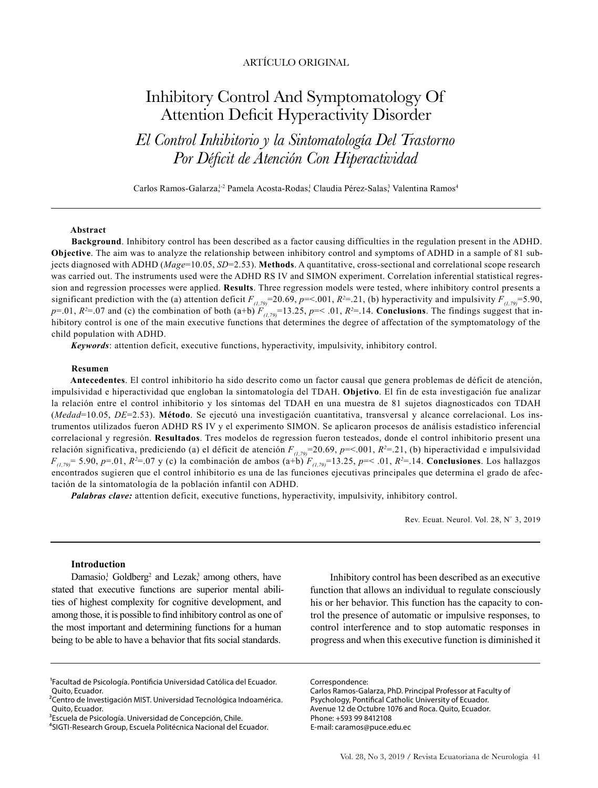# ARTÍCULO ORIGINAL

# Inhibitory Control And Symptomatology Of Attention Deficit Hyperactivity Disorder

*El Control Inhibitorio y la Sintomatología Del Trastorno Por Déficit de Atención Con Hiperactividad*

Carlos Ramos-Galarza,<sup>1,2</sup> Pamela Acosta-Rodas,<sup>1</sup> Claudia Pérez-Salas,<sup>3</sup> Valentina Ramos<sup>4</sup>

### **Abstract**

**Background**. Inhibitory control has been described as a factor causing difficulties in the regulation present in the ADHD. **Objective**. The aim was to analyze the relationship between inhibitory control and symptoms of ADHD in a sample of 81 subjects diagnosed with ADHD (*Mage*=10.05, *SD*=2.53). **Methods**. A quantitative, cross-sectional and correlational scope research was carried out. The instruments used were the ADHD RS IV and SIMON experiment. Correlation inferential statistical regression and regression processes were applied. **Results**. Three regression models were tested, where inhibitory control presents a significant prediction with the (a) attention deficit  $F_{(1,79)}$ =20.69, *p*=<.001, *R*<sup>2</sup>=.21, (b) hyperactivity and impulsivity  $F_{(1,79)}$ =5.90,  $p=0.01$ ,  $R^2=0.07$  and (c) the combination of both (a+b)  $F_{(1,79)}=13.25$ ,  $p=$   $0.01$ ,  $R^2=14$ . **Conclusions**. The findings suggest that inhibitory control is one of the main executive functions that determines the degree of affectation of the symptomatology of the child population with ADHD.

*Keywords*: attention deficit, executive functions, hyperactivity, impulsivity, inhibitory control.

#### **Resumen**

**Antecedentes**. El control inhibitorio ha sido descrito como un factor causal que genera problemas de déficit de atención, impulsividad e hiperactividad que engloban la sintomatología del TDAH. **Objetivo**. El fin de esta investigación fue analizar la relación entre el control inhibitorio y los síntomas del TDAH en una muestra de 81 sujetos diagnosticados con TDAH (*Medad*=10.05, *DE*=2.53). **Método**. Se ejecutó una investigación cuantitativa, transversal y alcance correlacional. Los instrumentos utilizados fueron ADHD RS IV y el experimento SIMON. Se aplicaron procesos de análisis estadístico inferencial correlacional y regresión. **Resultados**. Tres modelos de regression fueron testeados, donde el control inhibitorio present una relación significativa, prediciendo (a) el déficit de atención  $F_{(1,79)}$ =20.69, *p*=<.001, *R*<sup>2=</sup>.21, (b) hiperactividad e impulsividad *F(1,79)*= 5.90, *p*=.01, *R2* =.07 y (c) la combinación de ambos (a+b) *F(1,79)*=13.25, *p*=< .01, *R2* =.14. **Conclusiones**. Los hallazgos encontrados sugieren que el control inhibitorio es una de las funciones ejecutivas principales que determina el grado de afectación de la sintomatología de la población infantil con ADHD.

*Palabras clave:* attention deficit, executive functions, hyperactivity, impulsivity, inhibitory control.

Rev. Ecuat. Neurol. Vol. 28, N° 3, 2019

#### **Introduction**

Damasio,<sup>1</sup> Goldberg<sup>2</sup> and Lezak,<sup>3</sup> among others, have stated that executive functions are superior mental abilities of highest complexity for cognitive development, and among those, it is possible to find inhibitory control as one of the most important and determining functions for a human being to be able to have a behavior that fits social standards.

Inhibitory control has been described as an executive function that allows an individual to regulate consciously his or her behavior. This function has the capacity to control the presence of automatic or impulsive responses, to control interference and to stop automatic responses in progress and when this executive function is diminished it

Correspondence:

Carlos Ramos-Galarza, PhD. Principal Professor at Faculty of Psychology, Pontifical Catholic University of Ecuador. Avenue 12 de Octubre 1076 and Roca. Quito, Ecuador. Phone: +593 99 8412108 E-mail: caramos@puce.edu.ec

<sup>1</sup>Facultad de Psicología. Pontificia Universidad Católica del Ecuador. Quito, Ecuador.

<sup>&</sup>lt;sup>2</sup>Centro de Investigación MIST. Universidad Tecnológica Indoamérica. Quito, Ecuador.

<sup>&</sup>lt;sup>3</sup>Escuela de Psicología. Universidad de Concepción, Chile.

⁴SIGTI-Research Group, Escuela Politécnica Nacional del Ecuador.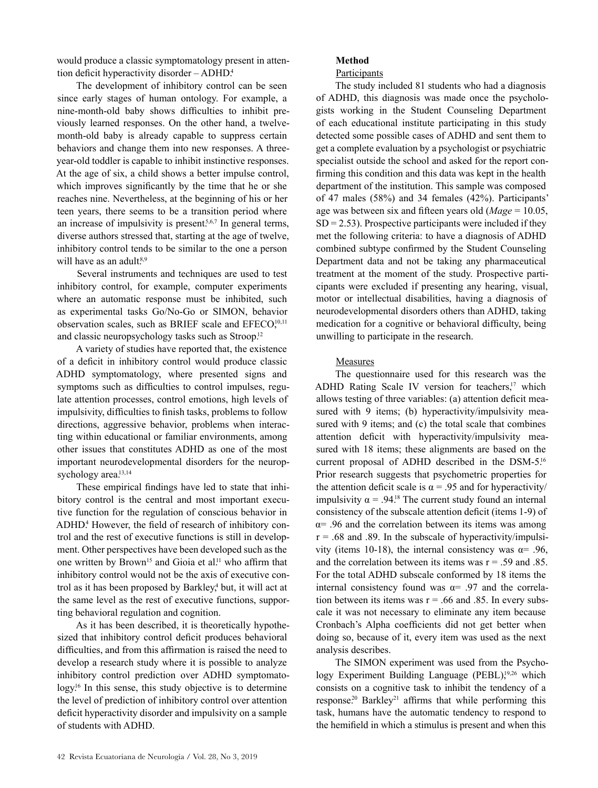would produce a classic symptomatology present in attention deficit hyperactivity disorder – ADHD.<sup>4</sup>

The development of inhibitory control can be seen since early stages of human ontology. For example, a nine-month-old baby shows difficulties to inhibit previously learned responses. On the other hand, a twelvemonth-old baby is already capable to suppress certain behaviors and change them into new responses. A threeyear-old toddler is capable to inhibit instinctive responses. At the age of six, a child shows a better impulse control, which improves significantly by the time that he or she reaches nine. Nevertheless, at the beginning of his or her teen years, there seems to be a transition period where an increase of impulsivity is present.<sup>5,6,7</sup> In general terms, diverse authors stressed that, starting at the age of twelve, inhibitory control tends to be similar to the one a person will have as an adult.<sup>8,9</sup>

Several instruments and techniques are used to test inhibitory control, for example, computer experiments where an automatic response must be inhibited, such as experimental tasks Go/No-Go or SIMON, behavior observation scales, such as BRIEF scale and EFECO,<sup>10,11</sup> and classic neuropsychology tasks such as Stroop.<sup>12</sup>

A variety of studies have reported that, the existence of a deficit in inhibitory control would produce classic ADHD symptomatology, where presented signs and symptoms such as difficulties to control impulses, regulate attention processes, control emotions, high levels of impulsivity, difficulties to finish tasks, problems to follow directions, aggressive behavior, problems when interacting within educational or familiar environments, among other issues that constitutes ADHD as one of the most important neurodevelopmental disorders for the neuropsychology area.<sup>13,14</sup>

These empirical findings have led to state that inhibitory control is the central and most important executive function for the regulation of conscious behavior in ADHD.<sup>4</sup> However, the field of research of inhibitory control and the rest of executive functions is still in development. Other perspectives have been developed such as the one written by Brown<sup>15</sup> and Gioia et al.<sup>11</sup> who affirm that inhibitory control would not be the axis of executive control as it has been proposed by Barkley,<sup>4</sup> but, it will act at the same level as the rest of executive functions, supporting behavioral regulation and cognition.

As it has been described, it is theoretically hypothesized that inhibitory control deficit produces behavioral difficulties, and from this affirmation is raised the need to develop a research study where it is possible to analyze inhibitory control prediction over ADHD symptomatology.<sup>16</sup> In this sense, this study objective is to determine the level of prediction of inhibitory control over attention deficit hyperactivity disorder and impulsivity on a sample of students with ADHD.

# **Method**

# Participants

The study included 81 students who had a diagnosis of ADHD, this diagnosis was made once the psychologists working in the Student Counseling Department of each educational institute participating in this study detected some possible cases of ADHD and sent them to get a complete evaluation by a psychologist or psychiatric specialist outside the school and asked for the report confirming this condition and this data was kept in the health department of the institution. This sample was composed of 47 males (58%) and 34 females (42%). Participants' age was between six and fifteen years old (*Mage* = 10.05,  $SD = 2.53$ ). Prospective participants were included if they met the following criteria: to have a diagnosis of ADHD combined subtype confirmed by the Student Counseling Department data and not be taking any pharmaceutical treatment at the moment of the study. Prospective participants were excluded if presenting any hearing, visual, motor or intellectual disabilities, having a diagnosis of neurodevelopmental disorders others than ADHD, taking medication for a cognitive or behavioral difficulty, being unwilling to participate in the research.

# Measures

The questionnaire used for this research was the ADHD Rating Scale IV version for teachers,<sup>17</sup> which allows testing of three variables: (a) attention deficit measured with 9 items; (b) hyperactivity/impulsivity measured with 9 items; and (c) the total scale that combines attention deficit with hyperactivity/impulsivity measured with 18 items; these alignments are based on the current proposal of ADHD described in the DSM-5.16 Prior research suggests that psychometric properties for the attention deficit scale is  $\alpha$  = .95 and for hyperactivity/ impulsivity  $\alpha$  = .94.<sup>18</sup> The current study found an internal consistency of the subscale attention deficit (items 1-9) of  $\alpha$ = .96 and the correlation between its items was among  $r = .68$  and .89. In the subscale of hyperactivity/impulsivity (items 10-18), the internal consistency was  $α= .96$ , and the correlation between its items was  $r = .59$  and  $.85$ . For the total ADHD subscale conformed by 18 items the internal consistency found was  $\alpha$ = .97 and the correlation between its items was  $r = .66$  and .85. In every subscale it was not necessary to eliminate any item because Cronbach's Alpha coefficients did not get better when doing so, because of it, every item was used as the next analysis describes.

The SIMON experiment was used from the Psychology Experiment Building Language  $(PEBL)$ ,<sup>19,26</sup> which consists on a cognitive task to inhibit the tendency of a response.<sup>20</sup> Barkley<sup>21</sup> affirms that while performing this task, humans have the automatic tendency to respond to the hemifield in which a stimulus is present and when this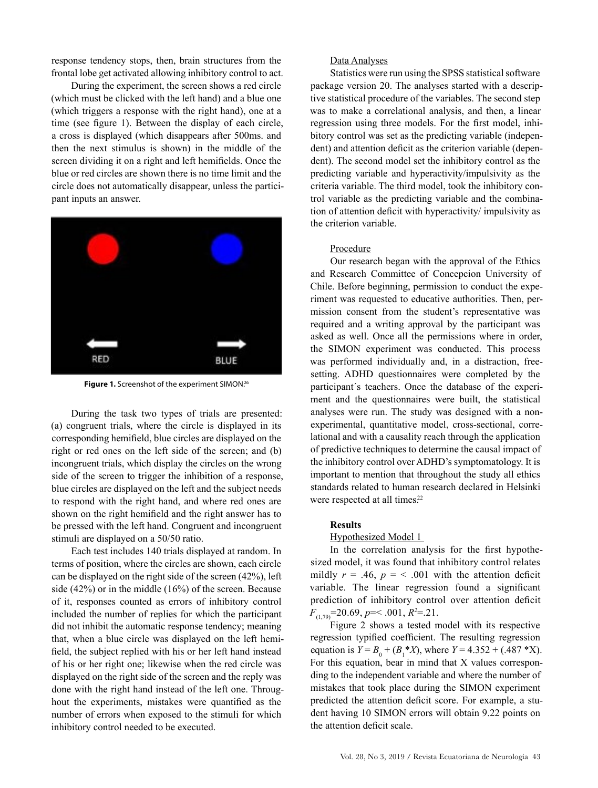response tendency stops, then, brain structures from the frontal lobe get activated allowing inhibitory control to act.

During the experiment, the screen shows a red circle (which must be clicked with the left hand) and a blue one (which triggers a response with the right hand), one at a time (see figure 1). Between the display of each circle, a cross is displayed (which disappears after 500ms. and then the next stimulus is shown) in the middle of the screen dividing it on a right and left hemifields. Once the blue or red circles are shown there is no time limit and the circle does not automatically disappear, unless the participant inputs an answer.



Figure 1. Screenshot of the experiment SIMON.<sup>26</sup>

During the task two types of trials are presented: (a) congruent trials, where the circle is displayed in its corresponding hemifield, blue circles are displayed on the right or red ones on the left side of the screen; and (b) incongruent trials, which display the circles on the wrong side of the screen to trigger the inhibition of a response, blue circles are displayed on the left and the subject needs to respond with the right hand, and where red ones are shown on the right hemifield and the right answer has to be pressed with the left hand. Congruent and incongruent stimuli are displayed on a 50/50 ratio.

Each test includes 140 trials displayed at random. In terms of position, where the circles are shown, each circle can be displayed on the right side of the screen (42%), left side (42%) or in the middle (16%) of the screen. Because of it, responses counted as errors of inhibitory control included the number of replies for which the participant did not inhibit the automatic response tendency; meaning that, when a blue circle was displayed on the left hemifield, the subject replied with his or her left hand instead of his or her right one; likewise when the red circle was displayed on the right side of the screen and the reply was done with the right hand instead of the left one. Throughout the experiments, mistakes were quantified as the number of errors when exposed to the stimuli for which inhibitory control needed to be executed.

## Data Analyses

Statistics were run using the SPSS statistical software package version 20. The analyses started with a descriptive statistical procedure of the variables. The second step was to make a correlational analysis, and then, a linear regression using three models. For the first model, inhibitory control was set as the predicting variable (independent) and attention deficit as the criterion variable (dependent). The second model set the inhibitory control as the predicting variable and hyperactivity/impulsivity as the criteria variable. The third model, took the inhibitory control variable as the predicting variable and the combination of attention deficit with hyperactivity/ impulsivity as the criterion variable.

## Procedure

Our research began with the approval of the Ethics and Research Committee of Concepcion University of Chile. Before beginning, permission to conduct the experiment was requested to educative authorities. Then, permission consent from the student's representative was required and a writing approval by the participant was asked as well. Once all the permissions where in order, the SIMON experiment was conducted. This process was performed individually and, in a distraction, freesetting. ADHD questionnaires were completed by the participant´s teachers. Once the database of the experiment and the questionnaires were built, the statistical analyses were run. The study was designed with a nonexperimental, quantitative model, cross-sectional, correlational and with a causality reach through the application of predictive techniques to determine the causal impact of the inhibitory control over ADHD's symptomatology. It is important to mention that throughout the study all ethics standards related to human research declared in Helsinki were respected at all times.<sup>22</sup>

#### **Results**

#### Hypothesized Model 1

In the correlation analysis for the first hypothesized model, it was found that inhibitory control relates mildly  $r = .46$ ,  $p = < .001$  with the attention deficit variable. The linear regression found a significant prediction of inhibitory control over attention deficit *F*(1,79)=20.69, *p*=< .001, *R2* =.21.

Figure 2 shows a tested model with its respective regression typified coefficient. The resulting regression equation is  $Y = B_0 + (B_1^* X)$ , where  $Y = 4.352 + (.487^* X)$ . For this equation, bear in mind that X values corresponding to the independent variable and where the number of mistakes that took place during the SIMON experiment predicted the attention deficit score. For example, a student having 10 SIMON errors will obtain 9.22 points on the attention deficit scale.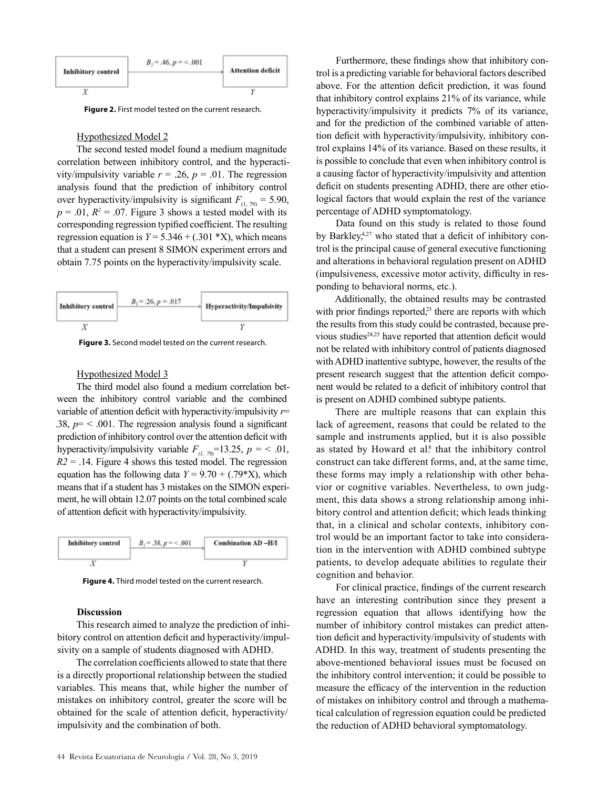

**Figure 2.** First model tested on the current research.

### Hypothesized Model 2

The second tested model found a medium magnitude correlation between inhibitory control, and the hyperactivity/impulsivity variable  $r = .26$ ,  $p = .01$ . The regression analysis found that the prediction of inhibitory control over hyperactivity/impulsivity is significant  $F_{(1, 79)} = 5.90$ ,  $p = .01$ ,  $R^2 = .07$ . Figure 3 shows a tested model with its corresponding regression typified coefficient. The resulting regression equation is  $Y = 5.346 + (.301 * X)$ , which means that a student can present 8 SIMON experiment errors and obtain 7.75 points on the hyperactivity/impulsivity scale.



**Figure 3.** Second model tested on the current research.

## Hypothesized Model 3

The third model also found a medium correlation between the inhibitory control variable and the combined variable of attention deficit with hyperactivity/impulsivity *r*= .38,  $p = 0.001$ . The regression analysis found a significant prediction of inhibitory control over the attention deficit with hyperactivity/impulsivity variable  $F_{(1, 79)}$ =13.25,  $p = 6.01$ ,  $R2 = .14$ . Figure 4 shows this tested model. The regression equation has the following data  $Y = 9.70 + (.79*K)$ , which means that if a student has 3 mistakes on the SIMON experiment, he will obtain 12.07 points on the total combined scale of attention deficit with hyperactivity/impulsivity.



**Figure 4.** Third model tested on the current research.

# **Discussion**

This research aimed to analyze the prediction of inhibitory control on attention deficit and hyperactivity/impulsivity on a sample of students diagnosed with ADHD.

The correlation coefficients allowed to state that there is a directly proportional relationship between the studied variables. This means that, while higher the number of mistakes on inhibitory control, greater the score will be obtained for the scale of attention deficit, hyperactivity/ impulsivity and the combination of both.

Furthermore, these findings show that inhibitory control is a predicting variable for behavioral factors described above. For the attention deficit prediction, it was found that inhibitory control explains 21% of its variance, while hyperactivity/impulsivity it predicts 7% of its variance, and for the prediction of the combined variable of attention deficit with hyperactivity/impulsivity, inhibitory control explains 14% of its variance. Based on these results, it is possible to conclude that even when inhibitory control is a causing factor of hyperactivity/impulsivity and attention deficit on students presenting ADHD, there are other etiological factors that would explain the rest of the variance percentage of ADHD symptomatology.

Data found on this study is related to those found by Barkley,<sup>4,27</sup> who stated that a deficit of inhibitory control is the principal cause of general executive functioning and alterations in behavioral regulation present on ADHD (impulsiveness, excessive motor activity, difficulty in responding to behavioral norms, etc.).

Additionally, the obtained results may be contrasted with prior findings reported, $2<sup>3</sup>$  there are reports with which the results from this study could be contrasted, because previous studies<sup>24,25</sup> have reported that attention deficit would not be related with inhibitory control of patients diagnosed with ADHD inattentive subtype, however, the results of the present research suggest that the attention deficit component would be related to a deficit of inhibitory control that is present on ADHD combined subtype patients.

There are multiple reasons that can explain this lack of agreement, reasons that could be related to the sample and instruments applied, but it is also possible as stated by Howard et al.<sup>8</sup> that the inhibitory control construct can take different forms, and, at the same time, these forms may imply a relationship with other behavior or cognitive variables. Nevertheless, to own judgment, this data shows a strong relationship among inhibitory control and attention deficit; which leads thinking that, in a clinical and scholar contexts, inhibitory control would be an important factor to take into consideration in the intervention with ADHD combined subtype patients, to develop adequate abilities to regulate their cognition and behavior.

For clinical practice, findings of the current research have an interesting contribution since they present a regression equation that allows identifying how the number of inhibitory control mistakes can predict attention deficit and hyperactivity/impulsivity of students with ADHD. In this way, treatment of students presenting the above-mentioned behavioral issues must be focused on the inhibitory control intervention; it could be possible to measure the efficacy of the intervention in the reduction of mistakes on inhibitory control and through a mathematical calculation of regression equation could be predicted the reduction of ADHD behavioral symptomatology.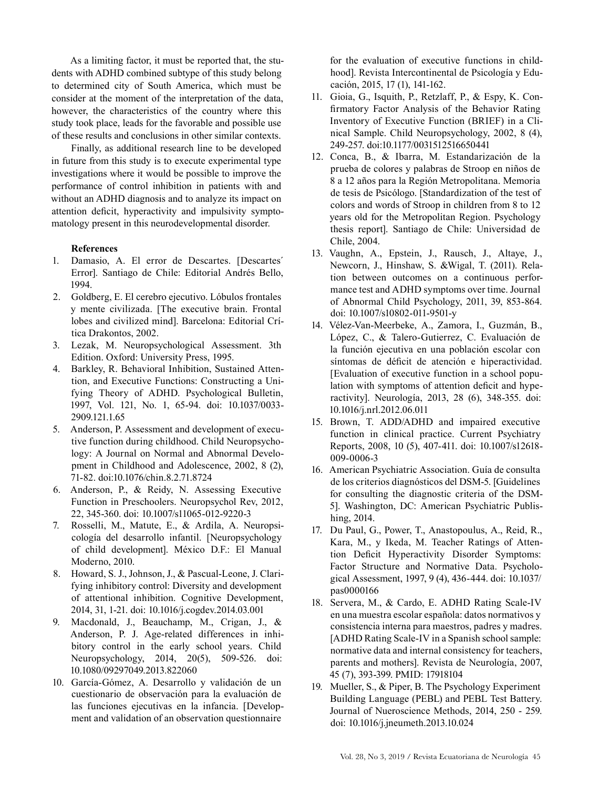As a limiting factor, it must be reported that, the students with ADHD combined subtype of this study belong to determined city of South America, which must be consider at the moment of the interpretation of the data, however, the characteristics of the country where this study took place, leads for the favorable and possible use of these results and conclusions in other similar contexts.

Finally, as additional research line to be developed in future from this study is to execute experimental type investigations where it would be possible to improve the performance of control inhibition in patients with and without an ADHD diagnosis and to analyze its impact on attention deficit, hyperactivity and impulsivity symptomatology present in this neurodevelopmental disorder.

## **References**

- 1. Damasio, A. El error de Descartes. [Descartes´ Error]. Santiago de Chile: Editorial Andrés Bello, 1994.
- 2. Goldberg, E. El cerebro ejecutivo. Lóbulos frontales y mente civilizada. [The executive brain. Frontal lobes and civilized mind]. Barcelona: Editorial Crítica Drakontos, 2002.
- 3. Lezak, M. Neuropsychological Assessment. 3th Edition. Oxford: University Press, 1995.
- 4. Barkley, R. Behavioral Inhibition, Sustained Attention, and Executive Functions: Constructing a Unifying Theory of ADHD. Psychological Bulletin, 1997, Vol. 121, No. 1, 65-94. doi: 10.1037/0033- 2909.121.1.65
- 5. Anderson, P. Assessment and development of executive function during childhood. Child Neuropsychology: A Journal on Normal and Abnormal Development in Childhood and Adolescence, 2002, 8 (2), 71-82. doi:10.1076/chin.8.2.71.8724
- 6. Anderson, P., & Reidy, N. Assessing Executive Function in Preschoolers. Neuropsychol Rev, 2012, 22, 345-360. doi: 10.1007/s11065-012-9220-3
- 7. Rosselli, M., Matute, E., & Ardila, A. Neuropsicología del desarrollo infantil. [Neuropsychology of child development]. México D.F.: El Manual Moderno, 2010.
- 8. Howard, S. J., Johnson, J., & Pascual-Leone, J. Clarifying inhibitory control: Diversity and development of attentional inhibition. Cognitive Development, 2014, 31, 1-21. doi: 10.1016/j.cogdev.2014.03.001
- Macdonald, J., Beauchamp, M., Crigan, J., & Anderson, P. J. Age-related differences in inhibitory control in the early school years. Child Neuropsychology, 2014, 20(5), 509-526. doi: 10.1080/09297049.2013.822060
- 10. García-Gómez, A. Desarrollo y validación de un cuestionario de observación para la evaluación de las funciones ejecutivas en la infancia. [Development and validation of an observation questionnaire

for the evaluation of executive functions in childhood]. Revista Intercontinental de Psicología y Educación, 2015, 17 (1), 141-162.

- 11. Gioia, G., Isquith, P., Retzlaff, P., & Espy, K. Confirmatory Factor Analysis of the Behavior Rating Inventory of Executive Function (BRIEF) in a Clinical Sample. Child Neuropsychology, 2002, 8 (4), 249-257. doi:10.1177/0031512516650441
- 12. Conca, B., & Ibarra, M. Estandarización de la prueba de colores y palabras de Stroop en niños de 8 a 12 años para la Región Metropolitana. Memoria de tesis de Psicólogo. [Standardization of the test of colors and words of Stroop in children from 8 to 12 years old for the Metropolitan Region. Psychology thesis report]. Santiago de Chile: Universidad de Chile, 2004.
- 13. Vaughn, A., Epstein, J., Rausch, J., Altaye, J., Newcorn, J., Hinshaw, S. &Wigal, T. (2011). Relation between outcomes on a continuous performance test and ADHD symptoms over time. Journal of Abnormal Child Psychology, 2011, 39, 853-864. doi: 10.1007/s10802-011-9501-y
- 14. Vélez-Van-Meerbeke, A., Zamora, I., Guzmán, B., López, C., & Talero-Gutierrez, C. Evaluación de la función ejecutiva en una población escolar con síntomas de déficit de atención e hiperactividad. [Evaluation of executive function in a school population with symptoms of attention deficit and hyperactivity]. Neurología, 2013, 28 (6), 348-355. doi: 10.1016/j.nrl.2012.06.011
- 15. Brown, T. ADD/ADHD and impaired executive function in clinical practice. Current Psychiatry Reports, 2008, 10 (5), 407-411. doi: 10.1007/s12618- 009-0006-3
- 16. American Psychiatric Association. Guía de consulta de los criterios diagnósticos del DSM-5. [Guidelines for consulting the diagnostic criteria of the DSM-5]. Washington, DC: American Psychiatric Publishing, 2014.
- 17. Du Paul, G., Power, T., Anastopoulus, A., Reid, R., Kara, M., y Ikeda, M. Teacher Ratings of Attention Deficit Hyperactivity Disorder Symptoms: Factor Structure and Normative Data. Psychological Assessment, 1997, 9 (4), 436-444. doi: 10.1037/ pas0000166
- 18. Servera, M., & Cardo, E. ADHD Rating Scale-IV en una muestra escolar española: datos normativos y consistencia interna para maestros, padres y madres. [ADHD Rating Scale-IV in a Spanish school sample: normative data and internal consistency for teachers, parents and mothers]. Revista de Neurología, 2007, 45 (7), 393-399. PMID: 17918104
- 19. Mueller, S., & Piper, B. The Psychology Experiment Building Language (PEBL) and PEBL Test Battery. Journal of Nueroscience Methods, 2014, 250 - 259. doi: 10.1016/j.jneumeth.2013.10.024